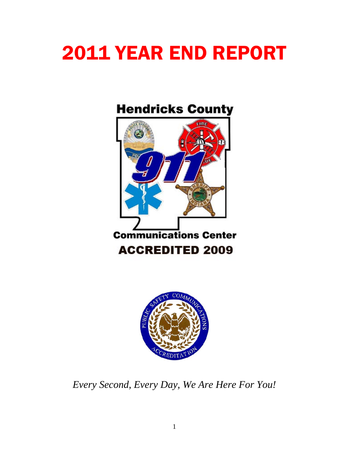# 2011 YEAR END REPORT

# **Hendricks County**





*Every Second, Every Day, We Are Here For You!*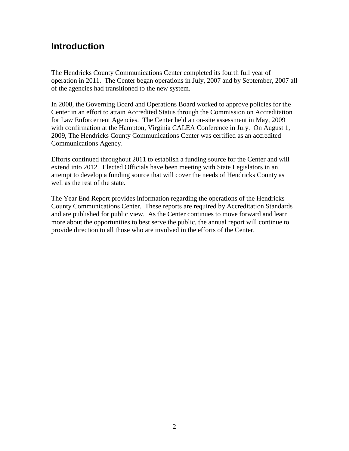## **Introduction**

The Hendricks County Communications Center completed its fourth full year of operation in 2011. The Center began operations in July, 2007 and by September, 2007 all of the agencies had transitioned to the new system.

In 2008, the Governing Board and Operations Board worked to approve policies for the Center in an effort to attain Accredited Status through the Commission on Accreditation for Law Enforcement Agencies. The Center held an on-site assessment in May, 2009 with confirmation at the Hampton, Virginia CALEA Conference in July. On August 1, 2009, The Hendricks County Communications Center was certified as an accredited Communications Agency.

Efforts continued throughout 2011 to establish a funding source for the Center and will extend into 2012. Elected Officials have been meeting with State Legislators in an attempt to develop a funding source that will cover the needs of Hendricks County as well as the rest of the state.

The Year End Report provides information regarding the operations of the Hendricks County Communications Center. These reports are required by Accreditation Standards and are published for public view. As the Center continues to move forward and learn more about the opportunities to best serve the public, the annual report will continue to provide direction to all those who are involved in the efforts of the Center.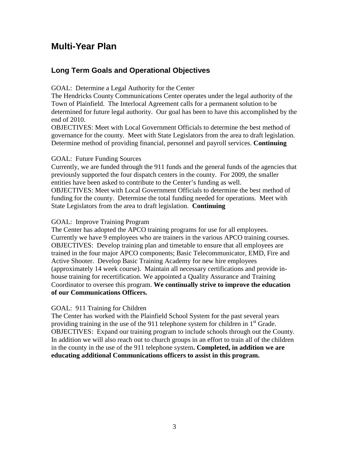### **Multi-Year Plan**

#### **Long Term Goals and Operational Objectives**

GOAL: Determine a Legal Authority for the Center

The Hendricks County Communications Center operates under the legal authority of the Town of Plainfield. The Interlocal Agreement calls for a permanent solution to be determined for future legal authority. Our goal has been to have this accomplished by the end of 2010.

OBJECTIVES: Meet with Local Government Officials to determine the best method of governance for the county. Meet with State Legislators from the area to draft legislation. Determine method of providing financial, personnel and payroll services. **Continuing**

#### GOAL: Future Funding Sources

Currently, we are funded through the 911 funds and the general funds of the agencies that previously supported the four dispatch centers in the county. For 2009, the smaller entities have been asked to contribute to the Center's funding as well. OBJECTIVES: Meet with Local Government Officials to determine the best method of funding for the county. Determine the total funding needed for operations. Meet with State Legislators from the area to draft legislation. **Continuing**

#### GOAL: Improve Training Program

The Center has adopted the APCO training programs for use for all employees. Currently we have 9 employees who are trainers in the various APCO training courses. OBJECTIVES: Develop training plan and timetable to ensure that all employees are trained in the four major APCO components; Basic Telecommunicator, EMD, Fire and Active Shooter. Develop Basic Training Academy for new hire employees (approximately 14 week course). Maintain all necessary certifications and provide inhouse training for recertification. We appointed a Quality Assurance and Training Coordinator to oversee this program. **We continually strive to improve the education of our Communications Officers.**

#### GOAL: 911 Training for Children

The Center has worked with the Plainfield School System for the past several years providing training in the use of the 911 telephone system for children in  $1<sup>st</sup>$  Grade. OBJECTIVES: Expand our training program to include schools through out the County. In addition we will also reach out to church groups in an effort to train all of the children in the county in the use of the 911 telephone system**. Completed, in addition we are educating additional Communications officers to assist in this program.**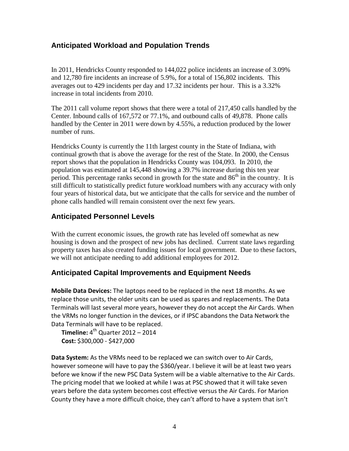#### **Anticipated Workload and Population Trends**

In 2011, Hendricks County responded to 144,022 police incidents an increase of 3.09% and 12,780 fire incidents an increase of 5.9%, for a total of 156,802 incidents. This averages out to 429 incidents per day and 17.32 incidents per hour. This is a 3.32% increase in total incidents from 2010.

The 2011 call volume report shows that there were a total of 217,450 calls handled by the Center. Inbound calls of 167,572 or 77.1%, and outbound calls of 49,878. Phone calls handled by the Center in 2011 were down by 4.55%, a reduction produced by the lower number of runs.

Hendricks County is currently the 11th largest county in the State of Indiana, with continual growth that is above the average for the rest of the State. In 2000, the Census report shows that the population in Hendricks County was 104,093. In 2010, the population was estimated at 145,448 showing a 39.7% increase during this ten year period. This percentage ranks second in growth for the state and  $86<sup>th</sup>$  in the country. It is still difficult to statistically predict future workload numbers with any accuracy with only four years of historical data, but we anticipate that the calls for service and the number of phone calls handled will remain consistent over the next few years.

#### **Anticipated Personnel Levels**

With the current economic issues, the growth rate has leveled off somewhat as new housing is down and the prospect of new jobs has declined. Current state laws regarding property taxes has also created funding issues for local government. Due to these factors, we will not anticipate needing to add additional employees for 2012.

#### **Anticipated Capital Improvements and Equipment Needs**

**Mobile Data Devices:** The laptops need to be replaced in the next 18 months. As we replace those units, the older units can be used as spares and replacements. The Data Terminals will last several more years, however they do not accept the Air Cards. When the VRMs no longer function in the devices, or if IPSC abandons the Data Network the Data Terminals will have to be replaced.

**Timeline:**  $4<sup>th</sup>$  Quarter 2012 – 2014 **Cost:** \$300,000 - \$427,000

**Data System:** As the VRMs need to be replaced we can switch over to Air Cards, however someone will have to pay the \$360/year. I believe it will be at least two years before we know if the new PSC Data System will be a viable alternative to the Air Cards. The pricing model that we looked at while I was at PSC showed that it will take seven years before the data system becomes cost effective versus the Air Cards. For Marion County they have a more difficult choice, they can't afford to have a system that isn't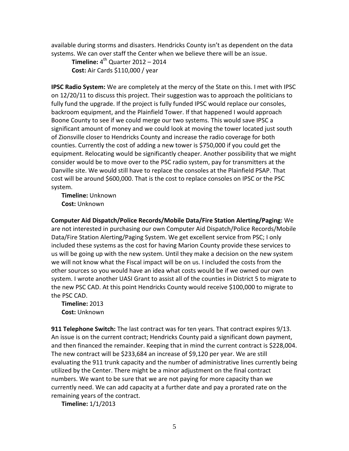available during storms and disasters. Hendricks County isn't as dependent on the data systems. We can over staff the Center when we believe there will be an issue.

**Timeline:**  $4<sup>th</sup>$  Quarter 2012 – 2014 **Cost:** Air Cards \$110,000 / year

**IPSC Radio System:** We are completely at the mercy of the State on this. I met with IPSC on 12/20/11 to discuss this project. Their suggestion was to approach the politicians to fully fund the upgrade. If the project is fully funded IPSC would replace our consoles, backroom equipment, and the Plainfield Tower. If that happened I would approach Boone County to see if we could merge our two systems. This would save IPSC a significant amount of money and we could look at moving the tower located just south of Zionsville closer to Hendricks County and increase the radio coverage for both counties. Currently the cost of adding a new tower is \$750,000 if you could get the equipment. Relocating would be significantly cheaper. Another possibility that we might consider would be to move over to the PSC radio system, pay for transmitters at the Danville site. We would still have to replace the consoles at the Plainfield PSAP. That cost will be around \$600,000. That is the cost to replace consoles on IPSC or the PSC system.

**Timeline:** Unknown **Cost:** Unknown

**Computer Aid Dispatch/Police Records/Mobile Data/Fire Station Alerting/Paging:** We are not interested in purchasing our own Computer Aid Dispatch/Police Records/Mobile Data/Fire Station Alerting/Paging System. We get excellent service from PSC; I only included these systems as the cost for having Marion County provide these services to us will be going up with the new system. Until they make a decision on the new system we will not know what the Fiscal impact will be on us. I included the costs from the other sources so you would have an idea what costs would be if we owned our own system. I wrote another UASI Grant to assist all of the counties in District 5 to migrate to the new PSC CAD. At this point Hendricks County would receive \$100,000 to migrate to the PSC CAD.

**Timeline:** 2013 **Cost:** Unknown

**911 Telephone Switch:** The last contract was for ten years. That contract expires 9/13. An issue is on the current contract; Hendricks County paid a significant down payment, and then financed the remainder. Keeping that in mind the current contract is \$228,004. The new contract will be \$233,684 an increase of \$9,120 per year. We are still evaluating the 911 trunk capacity and the number of administrative lines currently being utilized by the Center. There might be a minor adjustment on the final contract numbers. We want to be sure that we are not paying for more capacity than we currently need. We can add capacity at a further date and pay a prorated rate on the remaining years of the contract.

**Timeline:** 1/1/2013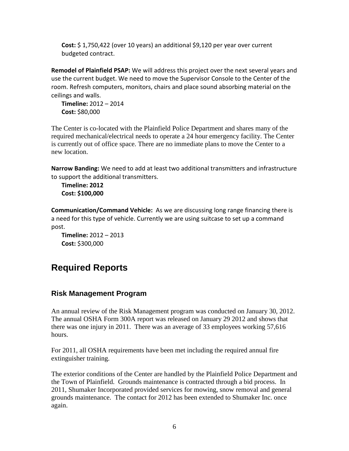**Cost:** \$ 1,750,422 (over 10 years) an additional \$9,120 per year over current budgeted contract.

**Remodel of Plainfield PSAP:** We will address this project over the next several years and use the current budget. We need to move the Supervisor Console to the Center of the room. Refresh computers, monitors, chairs and place sound absorbing material on the ceilings and walls.

**Timeline:** 2012 – 2014 **Cost:** \$80,000

The Center is co-located with the Plainfield Police Department and shares many of the required mechanical/electrical needs to operate a 24 hour emergency facility. The Center is currently out of office space. There are no immediate plans to move the Center to a new location.

**Narrow Banding:** We need to add at least two additional transmitters and infrastructure to support the additional transmitters.

**Timeline: 2012 Cost: \$100,000**

**Communication/Command Vehicle:** As we are discussing long range financing there is a need for this type of vehicle. Currently we are using suitcase to set up a command post.

**Timeline:** 2012 – 2013 **Cost:** \$300,000

# **Required Reports**

#### **Risk Management Program**

An annual review of the Risk Management program was conducted on January 30, 2012. The annual OSHA Form 300A report was released on January 29 2012 and shows that there was one injury in 2011. There was an average of 33 employees working 57,616 hours.

For 2011, all OSHA requirements have been met including the required annual fire extinguisher training.

The exterior conditions of the Center are handled by the Plainfield Police Department and the Town of Plainfield. Grounds maintenance is contracted through a bid process. In 2011, Shumaker Incorporated provided services for mowing, snow removal and general grounds maintenance. The contact for 2012 has been extended to Shumaker Inc. once again.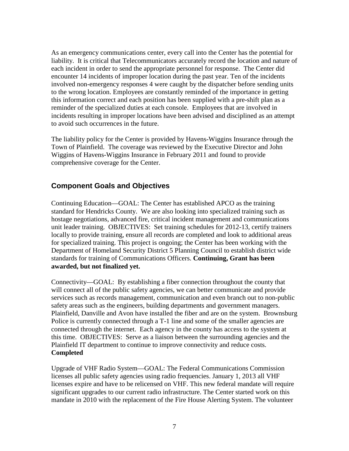As an emergency communications center, every call into the Center has the potential for liability. It is critical that Telecommunicators accurately record the location and nature of each incident in order to send the appropriate personnel for response. The Center did encounter 14 incidents of improper location during the past year. Ten of the incidents involved non-emergency responses 4 were caught by the dispatcher before sending units to the wrong location. Employees are constantly reminded of the importance in getting this information correct and each position has been supplied with a pre-shift plan as a reminder of the specialized duties at each console. Employees that are involved in incidents resulting in improper locations have been advised and disciplined as an attempt to avoid such occurrences in the future.

The liability policy for the Center is provided by Havens-Wiggins Insurance through the Town of Plainfield. The coverage was reviewed by the Executive Director and John Wiggins of Havens-Wiggins Insurance in February 2011 and found to provide comprehensive coverage for the Center.

#### **Component Goals and Objectives**

Continuing Education—GOAL: The Center has established APCO as the training standard for Hendricks County. We are also looking into specialized training such as hostage negotiations, advanced fire, critical incident management and communications unit leader training. OBJECTIVES: Set training schedules for 2012-13, certify trainers locally to provide training, ensure all records are completed and look to additional areas for specialized training. This project is ongoing; the Center has been working with the Department of Homeland Security District 5 Planning Council to establish district wide standards for training of Communications Officers. **Continuing, Grant has been awarded, but not finalized yet.**

Connectivity—GOAL: By establishing a fiber connection throughout the county that will connect all of the public safety agencies, we can better communicate and provide services such as records management, communication and even branch out to non-public safety areas such as the engineers, building departments and government managers. Plainfield, Danville and Avon have installed the fiber and are on the system. Brownsburg Police is currently connected through a T-1 line and some of the smaller agencies are connected through the internet. Each agency in the county has access to the system at this time. OBJECTIVES: Serve as a liaison between the surrounding agencies and the Plainfield IT department to continue to improve connectivity and reduce costs. **Completed**

Upgrade of VHF Radio System—GOAL: The Federal Communications Commission licenses all public safety agencies using radio frequencies. January 1, 2013 all VHF licenses expire and have to be relicensed on VHF. This new federal mandate will require significant upgrades to our current radio infrastructure. The Center started work on this mandate in 2010 with the replacement of the Fire House Alerting System. The volunteer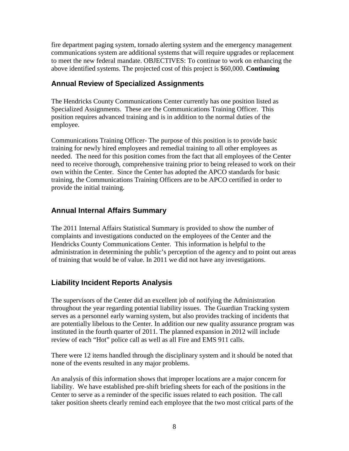fire department paging system, tornado alerting system and the emergency management communications system are additional systems that will require upgrades or replacement to meet the new federal mandate. OBJECTIVES: To continue to work on enhancing the above identified systems. The projected cost of this project is \$60,000. **Continuing**

#### **Annual Review of Specialized Assignments**

The Hendricks County Communications Center currently has one position listed as Specialized Assignments. These are the Communications Training Officer. This position requires advanced training and is in addition to the normal duties of the employee.

Communications Training Officer- The purpose of this position is to provide basic training for newly hired employees and remedial training to all other employees as needed. The need for this position comes from the fact that all employees of the Center need to receive thorough, comprehensive training prior to being released to work on their own within the Center. Since the Center has adopted the APCO standards for basic training, the Communications Training Officers are to be APCO certified in order to provide the initial training.

#### **Annual Internal Affairs Summary**

The 2011 Internal Affairs Statistical Summary is provided to show the number of complaints and investigations conducted on the employees of the Center and the Hendricks County Communications Center. This information is helpful to the administration in determining the public's perception of the agency and to point out areas of training that would be of value. In 2011 we did not have any investigations.

#### **Liability Incident Reports Analysis**

The supervisors of the Center did an excellent job of notifying the Administration throughout the year regarding potential liability issues. The Guardian Tracking system serves as a personnel early warning system, but also provides tracking of incidents that are potentially libelous to the Center. In addition our new quality assurance program was instituted in the fourth quarter of 2011. The planned expansion in 2012 will include review of each "Hot" police call as well as all Fire and EMS 911 calls.

There were 12 items handled through the disciplinary system and it should be noted that none of the events resulted in any major problems.

An analysis of this information shows that improper locations are a major concern for liability. We have established pre-shift briefing sheets for each of the positions in the Center to serve as a reminder of the specific issues related to each position. The call taker position sheets clearly remind each employee that the two most critical parts of the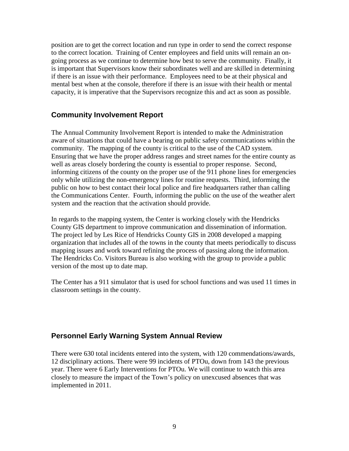position are to get the correct location and run type in order to send the correct response to the correct location. Training of Center employees and field units will remain an ongoing process as we continue to determine how best to serve the community. Finally, it is important that Supervisors know their subordinates well and are skilled in determining if there is an issue with their performance. Employees need to be at their physical and mental best when at the console, therefore if there is an issue with their health or mental capacity, it is imperative that the Supervisors recognize this and act as soon as possible.

#### **Community Involvement Report**

The Annual Community Involvement Report is intended to make the Administration aware of situations that could have a bearing on public safety communications within the community. The mapping of the county is critical to the use of the CAD system. Ensuring that we have the proper address ranges and street names for the entire county as well as areas closely bordering the county is essential to proper response. Second, informing citizens of the county on the proper use of the 911 phone lines for emergencies only while utilizing the non-emergency lines for routine requests. Third, informing the public on how to best contact their local police and fire headquarters rather than calling the Communications Center. Fourth, informing the public on the use of the weather alert system and the reaction that the activation should provide.

In regards to the mapping system, the Center is working closely with the Hendricks County GIS department to improve communication and dissemination of information. The project led by Les Rice of Hendricks County GIS in 2008 developed a mapping organization that includes all of the towns in the county that meets periodically to discuss mapping issues and work toward refining the process of passing along the information. The Hendricks Co. Visitors Bureau is also working with the group to provide a public version of the most up to date map.

The Center has a 911 simulator that is used for school functions and was used 11 times in classroom settings in the county.

#### **Personnel Early Warning System Annual Review**

There were 630 total incidents entered into the system, with 120 commendations/awards, 12 disciplinary actions. There were 99 incidents of PTOu, down from 143 the previous year. There were 6 Early Interventions for PTOu. We will continue to watch this area closely to measure the impact of the Town's policy on unexcused absences that was implemented in 2011.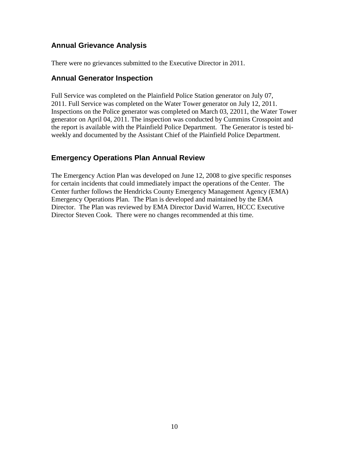#### **Annual Grievance Analysis**

There were no grievances submitted to the Executive Director in 2011.

#### **Annual Generator Inspection**

Full Service was completed on the Plainfield Police Station generator on July 07, 2011. Full Service was completed on the Water Tower generator on July 12, 2011. Inspections on the Police generator was completed on March 03, 22011, the Water Tower generator on April 04, 2011. The inspection was conducted by Cummins Crosspoint and the report is available with the Plainfield Police Department. The Generator is tested biweekly and documented by the Assistant Chief of the Plainfield Police Department.

#### **Emergency Operations Plan Annual Review**

The Emergency Action Plan was developed on June 12, 2008 to give specific responses for certain incidents that could immediately impact the operations of the Center. The Center further follows the Hendricks County Emergency Management Agency (EMA) Emergency Operations Plan. The Plan is developed and maintained by the EMA Director. The Plan was reviewed by EMA Director David Warren, HCCC Executive Director Steven Cook. There were no changes recommended at this time.